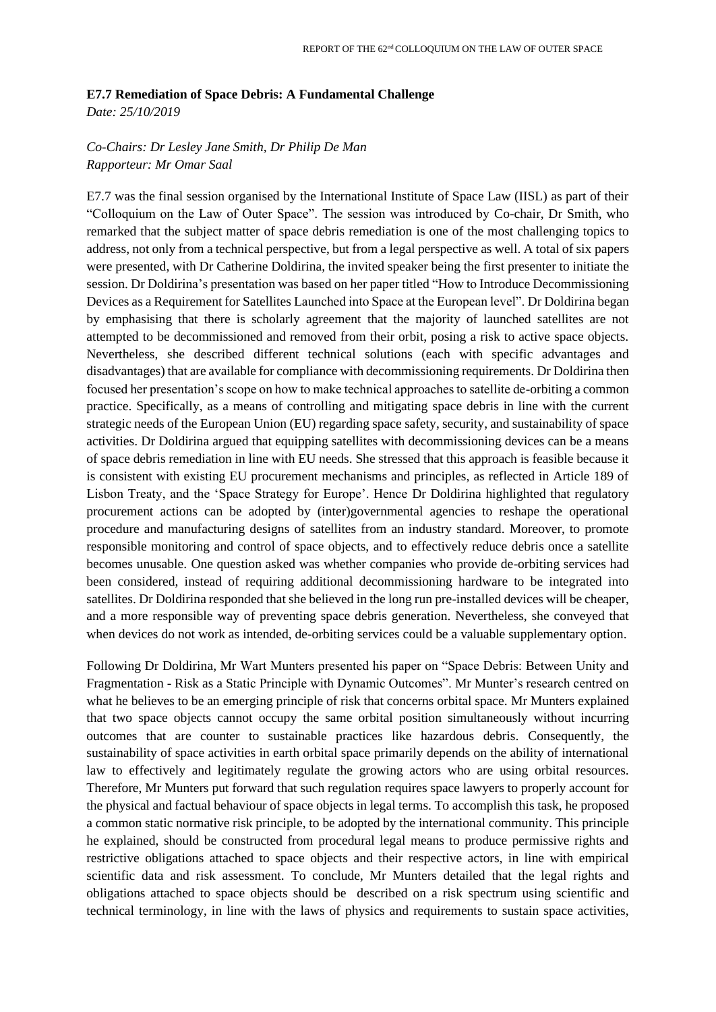## **E7.7 Remediation of Space Debris: A Fundamental Challenge**

*Date: 25/10/2019* 

## *Co-Chairs: Dr Lesley Jane Smith, Dr Philip De Man Rapporteur: Mr Omar Saal*

E7.7 was the final session organised by the International Institute of Space Law (IISL) as part of their "Colloquium on the Law of Outer Space". The session was introduced by Co-chair, Dr Smith, who remarked that the subject matter of space debris remediation is one of the most challenging topics to address, not only from a technical perspective, but from a legal perspective as well. A total of six papers were presented, with Dr Catherine Doldirina, the invited speaker being the first presenter to initiate the session. Dr Doldirina's presentation was based on her paper titled "How to Introduce Decommissioning Devices as a Requirement for Satellites Launched into Space at the European level". Dr Doldirina began by emphasising that there is scholarly agreement that the majority of launched satellites are not attempted to be decommissioned and removed from their orbit, posing a risk to active space objects. Nevertheless, she described different technical solutions (each with specific advantages and disadvantages) that are available for compliance with decommissioning requirements. Dr Doldirina then focused her presentation's scope on how to make technical approaches to satellite de-orbiting a common practice. Specifically, as a means of controlling and mitigating space debris in line with the current strategic needs of the European Union (EU) regarding space safety, security, and sustainability of space activities. Dr Doldirina argued that equipping satellites with decommissioning devices can be a means of space debris remediation in line with EU needs. She stressed that this approach is feasible because it is consistent with existing EU procurement mechanisms and principles, as reflected in Article 189 of Lisbon Treaty, and the 'Space Strategy for Europe'. Hence Dr Doldirina highlighted that regulatory procurement actions can be adopted by (inter)governmental agencies to reshape the operational procedure and manufacturing designs of satellites from an industry standard. Moreover, to promote responsible monitoring and control of space objects, and to effectively reduce debris once a satellite becomes unusable. One question asked was whether companies who provide de-orbiting services had been considered, instead of requiring additional decommissioning hardware to be integrated into satellites. Dr Doldirina responded that she believed in the long run pre-installed devices will be cheaper, and a more responsible way of preventing space debris generation. Nevertheless, she conveyed that when devices do not work as intended, de-orbiting services could be a valuable supplementary option.

Following Dr Doldirina, Mr Wart Munters presented his paper on "Space Debris: Between Unity and Fragmentation - Risk as a Static Principle with Dynamic Outcomes". Mr Munter's research centred on what he believes to be an emerging principle of risk that concerns orbital space. Mr Munters explained that two space objects cannot occupy the same orbital position simultaneously without incurring outcomes that are counter to sustainable practices like hazardous debris. Consequently, the sustainability of space activities in earth orbital space primarily depends on the ability of international law to effectively and legitimately regulate the growing actors who are using orbital resources. Therefore, Mr Munters put forward that such regulation requires space lawyers to properly account for the physical and factual behaviour of space objects in legal terms. To accomplish this task, he proposed a common static normative risk principle, to be adopted by the international community. This principle he explained, should be constructed from procedural legal means to produce permissive rights and restrictive obligations attached to space objects and their respective actors, in line with empirical scientific data and risk assessment. To conclude, Mr Munters detailed that the legal rights and obligations attached to space objects should be described on a risk spectrum using scientific and technical terminology, in line with the laws of physics and requirements to sustain space activities,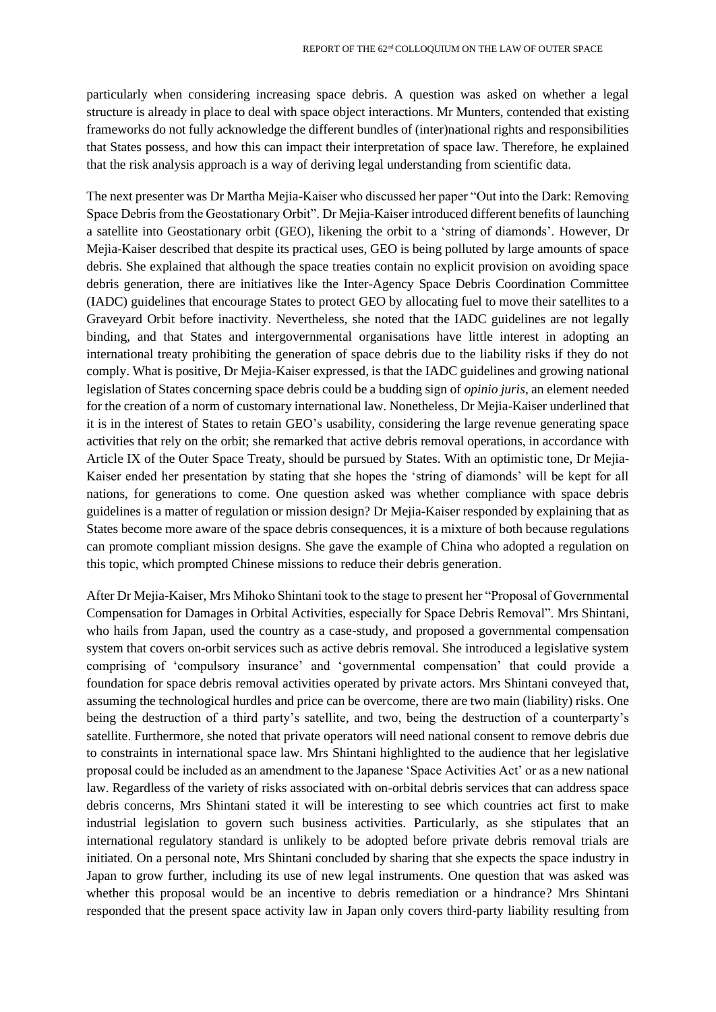particularly when considering increasing space debris. A question was asked on whether a legal structure is already in place to deal with space object interactions. Mr Munters, contended that existing frameworks do not fully acknowledge the different bundles of (inter)national rights and responsibilities that States possess, and how this can impact their interpretation of space law. Therefore, he explained that the risk analysis approach is a way of deriving legal understanding from scientific data.

The next presenter was Dr Martha Mejia-Kaiser who discussed her paper "Out into the Dark: Removing Space Debris from the Geostationary Orbit". Dr Mejia-Kaiser introduced different benefits of launching a satellite into Geostationary orbit (GEO), likening the orbit to a 'string of diamonds'. However, Dr Mejia-Kaiser described that despite its practical uses, GEO is being polluted by large amounts of space debris. She explained that although the space treaties contain no explicit provision on avoiding space debris generation, there are initiatives like the Inter-Agency Space Debris Coordination Committee (IADC) guidelines that encourage States to protect GEO by allocating fuel to move their satellites to a Graveyard Orbit before inactivity. Nevertheless, she noted that the IADC guidelines are not legally binding, and that States and intergovernmental organisations have little interest in adopting an international treaty prohibiting the generation of space debris due to the liability risks if they do not comply. What is positive, Dr Mejia-Kaiser expressed, is that the IADC guidelines and growing national legislation of States concerning space debris could be a budding sign of *opinio juris*, an element needed for the creation of a norm of customary international law. Nonetheless, Dr Mejia-Kaiser underlined that it is in the interest of States to retain GEO's usability, considering the large revenue generating space activities that rely on the orbit; she remarked that active debris removal operations, in accordance with Article IX of the Outer Space Treaty, should be pursued by States. With an optimistic tone, Dr Mejia-Kaiser ended her presentation by stating that she hopes the 'string of diamonds' will be kept for all nations, for generations to come. One question asked was whether compliance with space debris guidelines is a matter of regulation or mission design? Dr Mejia-Kaiser responded by explaining that as States become more aware of the space debris consequences, it is a mixture of both because regulations can promote compliant mission designs. She gave the example of China who adopted a regulation on this topic, which prompted Chinese missions to reduce their debris generation.

After Dr Mejia-Kaiser, Mrs Mihoko Shintani took to the stage to present her "Proposal of Governmental Compensation for Damages in Orbital Activities, especially for Space Debris Removal". Mrs Shintani, who hails from Japan, used the country as a case-study, and proposed a governmental compensation system that covers on-orbit services such as active debris removal. She introduced a legislative system comprising of 'compulsory insurance' and 'governmental compensation' that could provide a foundation for space debris removal activities operated by private actors. Mrs Shintani conveyed that, assuming the technological hurdles and price can be overcome, there are two main (liability) risks. One being the destruction of a third party's satellite, and two, being the destruction of a counterparty's satellite. Furthermore, she noted that private operators will need national consent to remove debris due to constraints in international space law. Mrs Shintani highlighted to the audience that her legislative proposal could be included as an amendment to the Japanese 'Space Activities Act' or as a new national law. Regardless of the variety of risks associated with on-orbital debris services that can address space debris concerns, Mrs Shintani stated it will be interesting to see which countries act first to make industrial legislation to govern such business activities. Particularly, as she stipulates that an international regulatory standard is unlikely to be adopted before private debris removal trials are initiated. On a personal note, Mrs Shintani concluded by sharing that she expects the space industry in Japan to grow further, including its use of new legal instruments. One question that was asked was whether this proposal would be an incentive to debris remediation or a hindrance? Mrs Shintani responded that the present space activity law in Japan only covers third-party liability resulting from